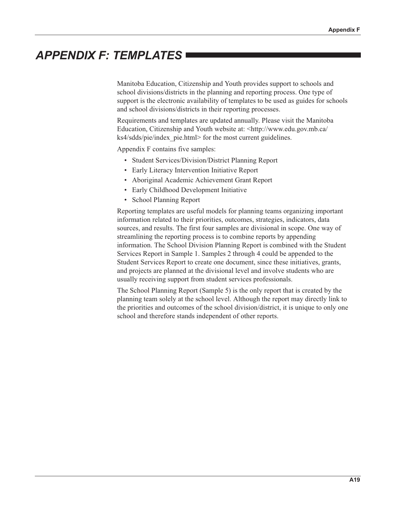# **APPENDIX F: TEMPLATES**

Manitoba Education, Citizenship and Youth provides support to schools and school divisions/districts in the planning and reporting process. One type of support is the electronic availability of templates to be used as guides for schools and school divisions/districts in their reporting processes.

Requirements and templates are updated annually. Please visit the Manitoba Education, Citizenship and Youth website at: <http://www.edu.gov.mb.ca/ ks4/sdds/pie/index pie.html> for the most current guidelines.

Appendix F contains five samples:

- Student Services/Division/District Planning Report
- Early Literacy Intervention Initiative Report
- Aboriginal Academic Achievement Grant Report
- Early Childhood Development Initiative
- School Planning Report

Reporting templates are useful models for planning teams organizing important information related to their priorities, outcomes, strategies, indicators, data sources, and results. The first four samples are divisional in scope. One way of streamlining the reporting process is to combine reports by appending information. The School Division Planning Report is combined with the Student Services Report in Sample 1. Samples 2 through 4 could be appended to the Student Services Report to create one document, since these initiatives, grants, and projects are planned at the divisional level and involve students who are usually receiving support from student services professionals.

The School Planning Report (Sample 5) is the only report that is created by the planning team solely at the school level. Although the report may directly link to the priorities and outcomes of the school division/district, it is unique to only one school and therefore stands independent of other reports.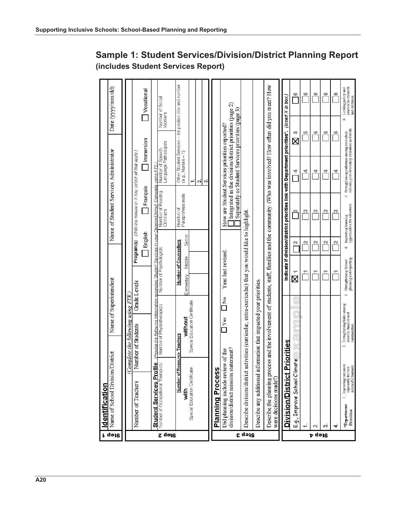| r qəiz | Name of School Division/<br>Identification                                                                                                                                | District                                                                       |                                                                   | Name of Superintendent |                                                |                       |         | Name of Student Services Administrator                                                        |          |                                                                                                                                                                |         | Date (yyyy/mm/dd)                                           |
|--------|---------------------------------------------------------------------------------------------------------------------------------------------------------------------------|--------------------------------------------------------------------------------|-------------------------------------------------------------------|------------------------|------------------------------------------------|-----------------------|---------|-----------------------------------------------------------------------------------------------|----------|----------------------------------------------------------------------------------------------------------------------------------------------------------------|---------|-------------------------------------------------------------|
|        |                                                                                                                                                                           |                                                                                |                                                                   |                        |                                                |                       |         |                                                                                               |          |                                                                                                                                                                |         |                                                             |
|        |                                                                                                                                                                           | (Complete the following using FTE.)                                            |                                                                   |                        |                                                |                       |         |                                                                                               |          |                                                                                                                                                                |         |                                                             |
|        | Number of Teachers                                                                                                                                                        | Number of Students                                                             |                                                                   | Grade Levels           |                                                |                       |         | Program(s) (With the mouse or X key, select all that apply.)                                  |          |                                                                                                                                                                |         |                                                             |
|        |                                                                                                                                                                           |                                                                                |                                                                   |                        |                                                |                       | English | Français                                                                                      |          | Immersion                                                                                                                                                      |         | Vocational                                                  |
|        | Student Services Prot                                                                                                                                                     | (Provide the following information regarding Student Services in vour Di<br>iе |                                                                   |                        |                                                |                       |         | wsion/District_Complete using FTE                                                             |          |                                                                                                                                                                |         |                                                             |
| Step 2 | Number of Occupational Therapists                                                                                                                                         | Number of Physiotherapists                                                     |                                                                   |                        | Number of Psychologists                        |                       |         | Number of Reading<br>Clinicians                                                               |          | Language Pathologists<br>Number of Speech-                                                                                                                     | Workers | Number of Social                                            |
|        | Number of R                                                                                                                                                               | esource Teachers                                                               |                                                                   |                        |                                                | Number of Counsellors |         |                                                                                               |          | Other Student Services - list position title and number                                                                                                        |         |                                                             |
|        | with                                                                                                                                                                      |                                                                                | without                                                           |                        | Elementary                                     | Middle                | Senior  | Number of<br>Paraprofessionals                                                                |          | $(e.g., Nurses - 1)$                                                                                                                                           |         |                                                             |
|        | Special Education Certificate                                                                                                                                             |                                                                                | Special Education Certificate                                     |                        |                                                |                       |         |                                                                                               | ÷<br>N   |                                                                                                                                                                |         |                                                             |
|        |                                                                                                                                                                           |                                                                                |                                                                   |                        |                                                |                       |         |                                                                                               | က်       |                                                                                                                                                                |         |                                                             |
|        | <b>Planning Process</b>                                                                                                                                                   |                                                                                |                                                                   |                        |                                                |                       |         |                                                                                               |          |                                                                                                                                                                |         |                                                             |
|        | division/district mission statement?<br>Did planning include review of the                                                                                                |                                                                                | Tes                                                               | $\frac{1}{2}$          |                                                | Year last revised:    |         |                                                                                               |          | Integrated in the division/district priorities (page 2)<br>Separately as Student Services priorities (page 3)<br>How are Student Services priorities reported? |         |                                                             |
| Step 3 | Describe division/district                                                                                                                                                | activities (curricular, extra-curricular) that you would like to highlight.    |                                                                   |                        |                                                |                       |         |                                                                                               |          |                                                                                                                                                                |         |                                                             |
|        | Describe any additional in                                                                                                                                                | formation that impacted your priorities.                                       |                                                                   |                        |                                                |                       |         |                                                                                               |          |                                                                                                                                                                |         |                                                             |
|        | Describe the planning process and the involvement of students, staff, families and the community. (Who was involved? How often did you meet? How<br>were decisions made?) |                                                                                |                                                                   |                        |                                                |                       |         |                                                                                               |          |                                                                                                                                                                |         |                                                             |
|        | <b>Division/District</b>                                                                                                                                                  | <b>Priorities</b>                                                              |                                                                   |                        |                                                |                       |         | Indicate if division/district priorities link with Department priorities*. (lnsert X in box.) |          |                                                                                                                                                                |         |                                                             |
|        | E.g., Improve School Clin                                                                                                                                                 | nate                                                                           |                                                                   |                        | Χ                                              |                       | N       | m                                                                                             | 4        | Χ                                                                                                                                                              | 18)     | G                                                           |
|        |                                                                                                                                                                           |                                                                                |                                                                   |                        | τ                                              |                       | N       | n                                                                                             | 4        |                                                                                                                                                                | 49      | 6                                                           |
| p dess | $\sim$                                                                                                                                                                    |                                                                                |                                                                   |                        | 토                                              |                       | N       | C)                                                                                            | ₹        |                                                                                                                                                                | به      | G                                                           |
|        | Ö                                                                                                                                                                         |                                                                                |                                                                   |                        | ₹                                              |                       | N       | n                                                                                             | <u>ч</u> |                                                                                                                                                                | 砌       | ဖ                                                           |
|        | 4                                                                                                                                                                         |                                                                                |                                                                   |                        | ۳                                              |                       | N       | m                                                                                             | ₫        |                                                                                                                                                                | 152     | ω                                                           |
|        | . Improving outcomes<br>especially for less<br>successful learners.<br>*Department<br>Priorities                                                                          | $\sim$                                                                         | Strengthening links among<br>schools, families and<br>communities | <b>S</b>               | planning and reporting<br>Strengthening School |                       | 4       | V.<br>Improving learning<br>opportunities for educators.                                      |          | Strengthening pathways among secondary<br>schools, post-secondary education and work                                                                           | Ġ       | practice to research<br>and evidence.<br>Linking policy and |

#### Sample 1: Student Services/Division/District Planning Report (includes Student Services Report)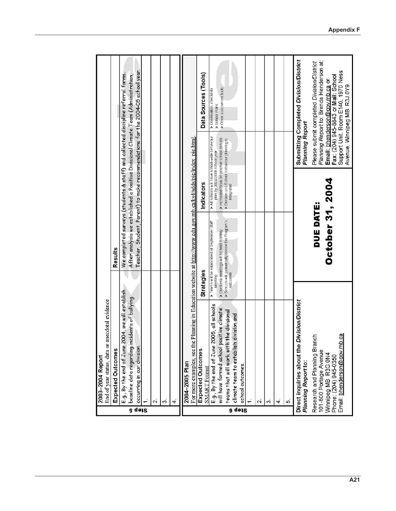|        | anecdotal evidence<br>End of year status, data or<br>2003-2004 Report                                                                     |            |                                                                                                                                                             |                                                                                                                                                                                               |                 |                                                                                                                                                                                                                                                         |  |
|--------|-------------------------------------------------------------------------------------------------------------------------------------------|------------|-------------------------------------------------------------------------------------------------------------------------------------------------------------|-----------------------------------------------------------------------------------------------------------------------------------------------------------------------------------------------|-----------------|---------------------------------------------------------------------------------------------------------------------------------------------------------------------------------------------------------------------------------------------------------|--|
|        | Expected Outcomes                                                                                                                         |            | Results                                                                                                                                                     |                                                                                                                                                                                               |                 |                                                                                                                                                                                                                                                         |  |
| Step 5 | E.g., By the end of June 2004, we will establish<br>baseline data regarding incidents of bullying<br>occurring in our division.           |            |                                                                                                                                                             |                                                                                                                                                                                               |                 | Teacher, Student, Parent) to make recommendations for the 2004–05 school year.<br>We completed surveys (students & staff) and collected discipline referral forms.<br>After analysis we established a Positive Divisional Climate Team (Administration, |  |
|        | $\overline{\mathbf{c}}$                                                                                                                   |            |                                                                                                                                                             |                                                                                                                                                                                               |                 |                                                                                                                                                                                                                                                         |  |
|        | S.                                                                                                                                        |            |                                                                                                                                                             |                                                                                                                                                                                               |                 |                                                                                                                                                                                                                                                         |  |
|        | 4                                                                                                                                         |            |                                                                                                                                                             |                                                                                                                                                                                               |                 |                                                                                                                                                                                                                                                         |  |
|        | 2004-2005 Plan                                                                                                                            |            |                                                                                                                                                             |                                                                                                                                                                                               |                 |                                                                                                                                                                                                                                                         |  |
|        | For more examples, see the Plaming in Education website at <u>http://www.edu.gov.mb.ca/ks4/sdds/pie/index_pie.html</u>                    |            |                                                                                                                                                             |                                                                                                                                                                                               |                 |                                                                                                                                                                                                                                                         |  |
|        | <b>Expected Outcomes</b><br><b>SMART Format</b>                                                                                           | Strategies |                                                                                                                                                             | Indicators                                                                                                                                                                                    |                 | Data Sources (Tools)                                                                                                                                                                                                                                    |  |
|        | E.g., By the end of June 2005, all schools<br>will have formed school positive climate<br>teams that will work with the divisional        | Meeting    | > Schools will penodically review the Program's<br>outcomes<br>> Teams will be established at September Staff<br>> Divisional meetings will be held monthly | All schools will have school-wide behaviour<br>⊁ increased focus on positive school climate<br>≻ Division and School behaviour planning is<br>↑ Divisionated<br>plan by 2004/2005 school year |                 | > Other assessment tools<br>> Observation, checklists<br>> School Plans                                                                                                                                                                                 |  |
| a qəiz | division and<br>climate team to establish<br>school outcomes                                                                              |            |                                                                                                                                                             |                                                                                                                                                                                               |                 |                                                                                                                                                                                                                                                         |  |
|        | $\sim$                                                                                                                                    |            |                                                                                                                                                             |                                                                                                                                                                                               |                 |                                                                                                                                                                                                                                                         |  |
|        | S.                                                                                                                                        |            |                                                                                                                                                             |                                                                                                                                                                                               |                 |                                                                                                                                                                                                                                                         |  |
|        | 4.                                                                                                                                        |            |                                                                                                                                                             |                                                                                                                                                                                               |                 |                                                                                                                                                                                                                                                         |  |
|        | 5                                                                                                                                         |            |                                                                                                                                                             |                                                                                                                                                                                               |                 |                                                                                                                                                                                                                                                         |  |
|        | <b>Division/District</b><br>Direct inquiries about the<br>Planning Report to:                                                             |            |                                                                                                                                                             |                                                                                                                                                                                               | Planning Report | Submitting Completed Division/District                                                                                                                                                                                                                  |  |
|        | Email: bhenderson@gov.mb.ca<br>τđη<br>Research and Planning Bra<br>101-800 Portage Avenue<br>Winnipeg MB R3G 0N4<br>Phone: (204) 945-0350 |            | October 31, 2004<br>DUE DATE:                                                                                                                               |                                                                                                                                                                                               |                 | Planning Report to: Brenda Henderson at:<br>Please submit completed Division/District<br>Support Unit, Room E140, 1970 Ness<br>Fax: (204) 945-8843 or Mail: School<br>Email: bhenderson@gov.mb.ca or<br>Avenue, Winnipeg MB R3J 0Y9.                    |  |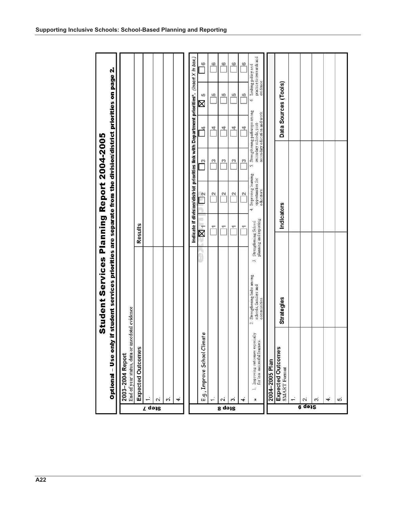|                                    | Optional - Use onl                                                            | y if student services priorities are separate from the division/district priorities on page 2.<br>Student Services Planning Report 2004-2005 |                                                            |            |                                                          |               |                                                                                               |                      |                                                                |
|------------------------------------|-------------------------------------------------------------------------------|----------------------------------------------------------------------------------------------------------------------------------------------|------------------------------------------------------------|------------|----------------------------------------------------------|---------------|-----------------------------------------------------------------------------------------------|----------------------|----------------------------------------------------------------|
|                                    |                                                                               |                                                                                                                                              |                                                            |            |                                                          |               |                                                                                               |                      |                                                                |
|                                    | End of year status, data or anecdotal evidence<br>2003-2004 Report            |                                                                                                                                              |                                                            |            |                                                          |               |                                                                                               |                      |                                                                |
|                                    | Expected Outcomes                                                             |                                                                                                                                              | <b>Results</b>                                             |            |                                                          |               |                                                                                               |                      |                                                                |
| Step 7                             |                                                                               |                                                                                                                                              |                                                            |            |                                                          |               |                                                                                               |                      |                                                                |
|                                    | $\mathbf{a}$                                                                  |                                                                                                                                              |                                                            |            |                                                          |               |                                                                                               |                      |                                                                |
|                                    | S.                                                                            |                                                                                                                                              |                                                            |            |                                                          |               |                                                                                               |                      |                                                                |
|                                    | $\blacktriangleleft$                                                          |                                                                                                                                              |                                                            |            |                                                          |               |                                                                                               |                      |                                                                |
|                                    |                                                                               |                                                                                                                                              |                                                            |            |                                                          |               | Indicate if division/district priorities link with Department priorities*. (insert X in box.) |                      |                                                                |
|                                    | E.g., Improve School Climate                                                  |                                                                                                                                              | $\overline{\mathbb{X}}$                                    |            | $\frac{N}{1}$                                            | $\frac{1}{2}$ | ×,                                                                                            | 182<br>Χ             | C                                                              |
|                                    |                                                                               |                                                                                                                                              |                                                            | ۳          | $\overline{\mathbf{c}}$                                  | $\frac{1}{2}$ | 戍                                                                                             | ω                    | ¢                                                              |
| Step 8                             | $\sim$                                                                        |                                                                                                                                              |                                                            | ٣          | N                                                        | S             | <u>খ</u>                                                                                      | NQ                   | $\circ$                                                        |
|                                    | S.                                                                            |                                                                                                                                              |                                                            | ٣          | $\overline{\mathbf{c}}$                                  | ø             | ₫                                                                                             | u)                   | $\circ$                                                        |
|                                    | 4                                                                             |                                                                                                                                              |                                                            | ٣P         | $\mathbb{N}$                                             | C             | <u>খ</u>                                                                                      | 15)                  | ω                                                              |
|                                    | Improving outcomes especially<br>for less successful learners.<br>e<br>$\ast$ | 2. Strengthening links among<br>schools, families and<br>communities                                                                         | planning and reporting<br>Strengtheming School<br>$\omega$ |            | 4. Improving learning<br>opportunities for<br>educators. | in,           | Strengthening pathways among<br>secondary education and work.<br>secondary schools, post-     |                      | practice to research and<br>evidence.<br>6. Linking policy and |
|                                    | 2004-2005 Plan                                                                |                                                                                                                                              |                                                            |            |                                                          |               |                                                                                               |                      |                                                                |
|                                    | Expected Outcomes<br><b>SMART</b> Format                                      | Strategies                                                                                                                                   |                                                            | Indicators |                                                          |               |                                                                                               | Data Sources (Tools) |                                                                |
|                                    |                                                                               |                                                                                                                                              |                                                            |            |                                                          |               |                                                                                               |                      |                                                                |
| <b><i><u><b>G</b></u></i></b> də12 | $\mathbf{C}$                                                                  |                                                                                                                                              |                                                            |            |                                                          |               |                                                                                               |                      |                                                                |
|                                    | S.                                                                            |                                                                                                                                              |                                                            |            |                                                          |               |                                                                                               |                      |                                                                |
|                                    | 4                                                                             |                                                                                                                                              |                                                            |            |                                                          |               |                                                                                               |                      |                                                                |
|                                    | ıή                                                                            |                                                                                                                                              |                                                            |            |                                                          |               |                                                                                               |                      |                                                                |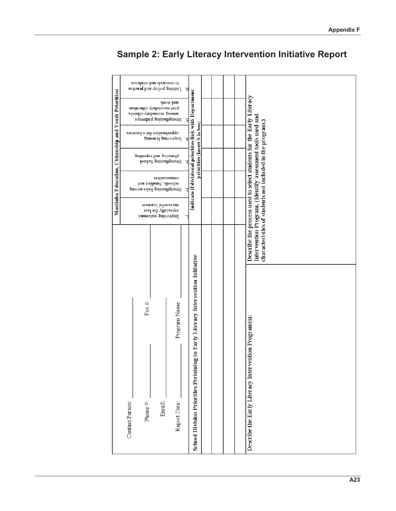| Manitoba Education, Citizenship and Youth Priorities: |                 |                   | to research and evidence<br>$\Gamma$ ruping boliev and practice<br>hoar-aeconquiA equestion<br>spoops Amprooss Suoum<br>Systemgthening pathways<br>opportunites for educators<br>Improving learning<br>planning and reporting<br>strengthening School<br>sənununuoə<br>schools, families and<br>Strengtheming links among<br>storessful learners<br>eabecially for less<br>pubnoning oncounce | show bns                      | و٠<br>Indicate if divisional priorities link with Department<br>'S<br>priorities (Insert X in box)<br>ʻt.<br>Έ<br>7<br>I |  | Describe the process used to select students for the Early Literacy<br>Intervention Program. (Identify assessment tools used and<br>characteristics of students not included in the program.) |
|-------------------------------------------------------|-----------------|-------------------|-----------------------------------------------------------------------------------------------------------------------------------------------------------------------------------------------------------------------------------------------------------------------------------------------------------------------------------------------------------------------------------------------|-------------------------------|--------------------------------------------------------------------------------------------------------------------------|--|-----------------------------------------------------------------------------------------------------------------------------------------------------------------------------------------------|
|                                                       | Contact Person: | Fax #:<br>Phone#: | Email:                                                                                                                                                                                                                                                                                                                                                                                        | Program Name:<br>Report Date: | School Division Priorities Pertaining to Early Literacy Intervention Initiative                                          |  | Describe the Early Literacy Intervention Program(s):                                                                                                                                          |

## Sample 2: Early Literacy Intervention Initiative Report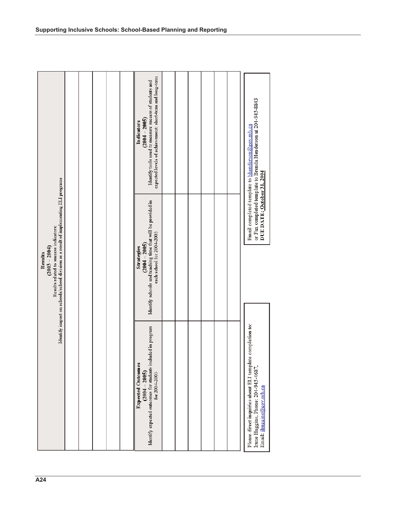|                                                                                                                               | Identify impact on schools/school division as a result of implementing ELI programs<br>Results related to success indicators:<br>$(2003 - 2004)$<br>Results |                                                                                                                                                     |
|-------------------------------------------------------------------------------------------------------------------------------|-------------------------------------------------------------------------------------------------------------------------------------------------------------|-----------------------------------------------------------------------------------------------------------------------------------------------------|
|                                                                                                                               |                                                                                                                                                             |                                                                                                                                                     |
|                                                                                                                               |                                                                                                                                                             |                                                                                                                                                     |
|                                                                                                                               |                                                                                                                                                             |                                                                                                                                                     |
|                                                                                                                               |                                                                                                                                                             |                                                                                                                                                     |
|                                                                                                                               |                                                                                                                                                             |                                                                                                                                                     |
| Identify expected outcomes for students included in program<br><b>Expected Outcomes</b><br>$(2004 - 2005)$<br>for 2004-2005   | Identify schools and teaching time that will be provided in<br>each school for 2004-2005<br>$(2004 - 2005)$<br>Strategies                                   | expected levels of achievement: short-term and long-term<br>Identify tools used to measure success of students and<br>$(2004 - 2005)$<br>Indicators |
|                                                                                                                               |                                                                                                                                                             |                                                                                                                                                     |
|                                                                                                                               |                                                                                                                                                             |                                                                                                                                                     |
|                                                                                                                               |                                                                                                                                                             |                                                                                                                                                     |
|                                                                                                                               |                                                                                                                                                             |                                                                                                                                                     |
|                                                                                                                               |                                                                                                                                                             |                                                                                                                                                     |
|                                                                                                                               |                                                                                                                                                             |                                                                                                                                                     |
| Please direct inquiries about ELI template completion to:<br>Irene Huggins, Phone: 204-945-4687,<br>Email: ihuggins@gov.mb.ca | DUE DATE: October 31, 2004                                                                                                                                  | or Fax completed template to Brenda Henderson at 204-945-8843<br>Email completed template to bhenderson@gov.mb.ca                                   |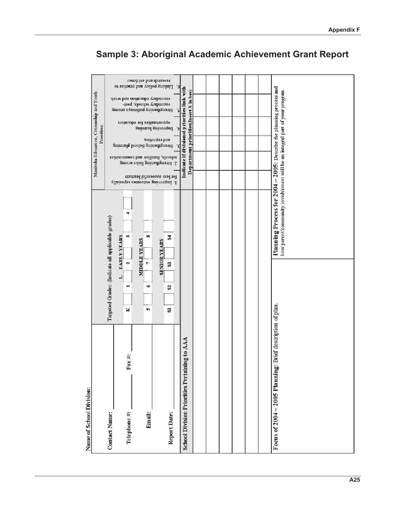| Manitoba Education, Citizenship and Youth<br>Priorities: |                                                   |                                                        | research and evidence<br>Linking policy and practice to<br>зесовных сquestion and work<br>-1sod 'spoous Ampuooos<br>Suouue sAemqued Sumaquang<br>obbortunites for educators<br>Strengtheming School planming | Improving learning<br>Þ<br>and reporting<br>sonunumuoo pus soijuusj 'spoops<br>2. Strengthema hinks among<br>for less successful learners<br>1. Improving outcomes especially | ٠,<br>Indicate if divisional priorities link with<br>Department priorities(Insert X in box)<br>.c<br>۰ε |  | Planning Process for 2004 - 2005: Describe the planning process and<br>how parent/community involvement will be an integral part of your program. |
|----------------------------------------------------------|---------------------------------------------------|--------------------------------------------------------|--------------------------------------------------------------------------------------------------------------------------------------------------------------------------------------------------------------|-------------------------------------------------------------------------------------------------------------------------------------------------------------------------------|---------------------------------------------------------------------------------------------------------|--|---------------------------------------------------------------------------------------------------------------------------------------------------|
|                                                          | Targeted Grades: (Indicate all applicable grades) | ÷<br>S<br><b>EARLY YEARS</b><br>$\mathbf{a}$<br>۳<br>Κ | $\infty$<br>MIDDLE YEARS<br>$\overline{r}$<br>$\bullet$<br>w                                                                                                                                                 | Z<br><b>SENIOR YEARS</b><br>$\mathbf{3}$<br>$\mathbf{S}$<br>$\boldsymbol{\Sigma}$                                                                                             |                                                                                                         |  |                                                                                                                                                   |
| Name of School Division:                                 | <b>Contact Name:</b>                              | $\ddot{=}$<br>Fax<br>Telephone <sup>#</sup> :          | Email:                                                                                                                                                                                                       | Report Date:                                                                                                                                                                  | g to AAA<br><b>School Division Priorities Pertainin</b>                                                 |  | Brief description of plan.<br>Focus of $2004 - 2005$ Planning:                                                                                    |

## Sample 3: Aboriginal Academic Achievement Grant Report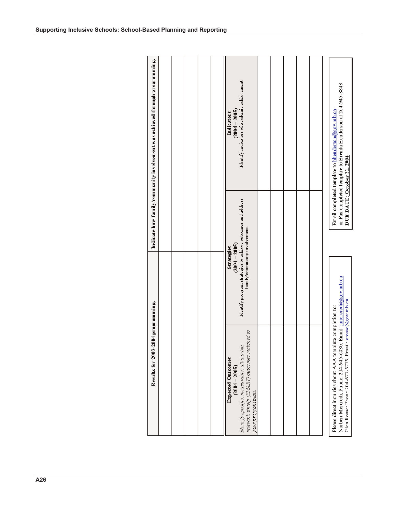| Results for 2003-2004 programming.                                                                                                                              |                                                                                                                               |                            | Indicate how family/community involvement was achieved through programming.                                       |  |
|-----------------------------------------------------------------------------------------------------------------------------------------------------------------|-------------------------------------------------------------------------------------------------------------------------------|----------------------------|-------------------------------------------------------------------------------------------------------------------|--|
|                                                                                                                                                                 |                                                                                                                               |                            |                                                                                                                   |  |
|                                                                                                                                                                 |                                                                                                                               |                            |                                                                                                                   |  |
|                                                                                                                                                                 |                                                                                                                               |                            |                                                                                                                   |  |
|                                                                                                                                                                 |                                                                                                                               |                            |                                                                                                                   |  |
|                                                                                                                                                                 |                                                                                                                               |                            |                                                                                                                   |  |
| relevant, timely (SMART) outcomes matched to<br>Identify specific, measurable, attainable,<br><b>Expected Outcomes</b><br>$(2004 - 2005)$<br>your program plan. | Identify program strategies to achieve outcomes and address<br>family/community involvement.<br>$(2004 - 2005)$<br>Strategies |                            | Identify indicators of academic achievement.<br>$(2004 - 2005)$<br>Indicators                                     |  |
|                                                                                                                                                                 |                                                                                                                               |                            |                                                                                                                   |  |
|                                                                                                                                                                 |                                                                                                                               |                            |                                                                                                                   |  |
|                                                                                                                                                                 |                                                                                                                               |                            |                                                                                                                   |  |
|                                                                                                                                                                 |                                                                                                                               |                            |                                                                                                                   |  |
|                                                                                                                                                                 |                                                                                                                               |                            |                                                                                                                   |  |
|                                                                                                                                                                 |                                                                                                                               |                            |                                                                                                                   |  |
| Glen Rosse: Phone 204-677-6775, Email: grosse@gov.mb.ca<br>Please direct inquiries about AAA template completion to:<br>Norbert Mercredi, Phone: 204-945-6830,  | Email: mercredi@gov.mb.ca                                                                                                     | DUE DATE: October 31, 2004 | or Fax completed template to Brenda Henderson at 204-945-8843<br>Email completed template to bhenderson@gov.mb.ca |  |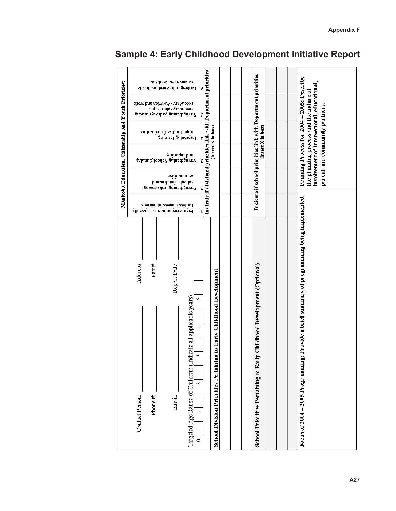| Manitoba Education, Citizenship and Youth Priorities: | research and evidence<br>Linking policy and practice to<br>۰,<br>secondary education and work<br>-1sod 'spoous Ampuooos<br>Suoure s/temped Sumomsuong<br>۱Ś.<br>obborumnes tor educators<br>Improving learning<br>্য<br>Suntodas pue<br>Strengthening School planning<br>sonnumuos<br>schools, families and<br>Strengtheming links among<br>tor less successful learners<br>Improving outcomes especially<br>Ί | Indicate if divisional priorities link with Department priorities<br>(Insert X in box) | Indicate if school priorities link with Department priorities<br>(Insert X in box) | Planning Process for 2004 - 2005: Describe<br>involvement of intersectoral, educational,<br>the planning process and the nature of<br>parent and community partners. |
|-------------------------------------------------------|----------------------------------------------------------------------------------------------------------------------------------------------------------------------------------------------------------------------------------------------------------------------------------------------------------------------------------------------------------------------------------------------------------------|----------------------------------------------------------------------------------------|------------------------------------------------------------------------------------|----------------------------------------------------------------------------------------------------------------------------------------------------------------------|
|                                                       | Report Date:<br>Address:<br>Fax#:<br>applicable years)<br>m<br>4<br>$\operatorname{calc}$ all<br>Targeted Age Range of Children: (Indi<br>E<br>$\mathbf{\hat{c}}$<br>Contact Person:<br>Phone #:<br>Email:<br>$\circ$                                                                                                                                                                                          | to Early Childhood Development<br><b>School Division Priorities Pertaining</b>         | Childhood Development (Optional)<br>School Priorities Pertaining to Early          | Provide a brief summary of programming being implemented.<br>Focus of 2004 - 2005 Programming:                                                                       |

## Sample 4: Early Childhood Development Initiative Report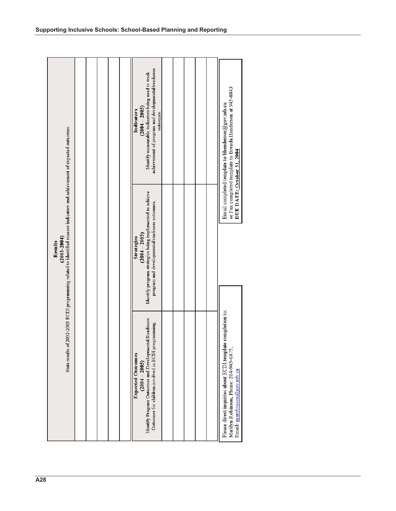|                                                                                                                                                          |  |  | achievement of program and developmental/readiness<br>Identify measurable indicators being used to track<br>$(2004 - 2005)$<br>Indicators<br>outcomes.      |  |  | or Fax completed template to Brenda Henderson at 945-8843<br>Email completed template to bhenderson@gov.mb.ca<br>DUE DATE: October 31, 2004 |
|----------------------------------------------------------------------------------------------------------------------------------------------------------|--|--|-------------------------------------------------------------------------------------------------------------------------------------------------------------|--|--|---------------------------------------------------------------------------------------------------------------------------------------------|
| State results of 2002-2003 ECDI programming related to identified success indicators and achievement of expected outcomes.<br>$(2003 - 2004)$<br>Results |  |  | Identify program strategies being implemented to achieve<br>program and developmental/readiness outcomes.<br>$(2004 - 2005)$<br>Strategies                  |  |  |                                                                                                                                             |
|                                                                                                                                                          |  |  | Identify Program Outcomes and Developmental/Readiness<br>Outcomes for children involved in ECDI programming.<br><b>Expected Outcomes</b><br>$(2004 - 2005)$ |  |  | Please direct inquiries about ECDI template completion to:<br>Marilyn Robinson, Phone: 204-945-6875,<br>Email: marobinson@gov.mb.ca         |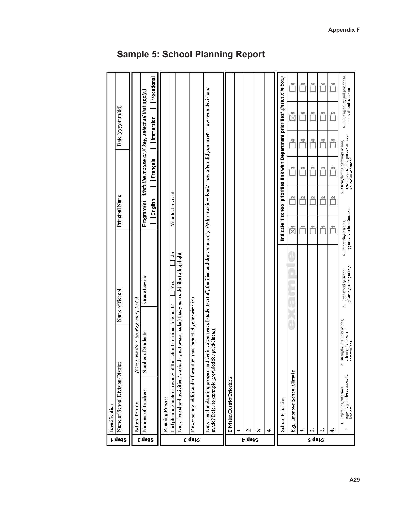Linking policy and practice to<br>research and evidence.  $\Box$  Vocational Indicate if school priorities link with Department priorities\*.(Insert X in box.) ீ ů Ů  $\overline{\square}$ Ö Describe the planning process and the involvement of students, staff, families and the community. (Who was involved? How often did you meet? How were decisions<br>made? Refer to example provided for guidelines.) Program(s) (With the mouse or X key, select all that apply.) Date (yyy/mm/dd)  $\overset{\bullet}{\boxtimes}$  $\Box$  $\overline{\square}$  $\overline{\square}$ Ů  $\Box$  Immersion  $\ddot{\circ}$ Strengthening pathways among<br>secondary schools, post-secondary<br>education and work Ů Ŏ Ů Ő Ů  $\Box$ Français Ô  $\Box$  $\overline{\Box}$  $\overline{\Box}$  $\overline{\Box}$ Year last revised: s.  $\overline{\Box}$ Principal Name Ů  $\overline{\square}$ Ů  $\tilde{\Box}$  $\Box$  English Improving learning<br>opportunities for educators ŏ Ŏ ŏ ñ  $\bar{\boxtimes}$  $\overline{\Box}{}^{\kappa_{0}}$  $\ddot{4}$ Describe school activities (curricular, extra-curricular) that you would like to highlight. Strengthening School<br>planning and reporting Grade Levels  $\Box$  Yes Name of School Describe any additional information that impacted your priorities. Did planning include review of the school mission statement? Complete the following using FTE.,  $\frac{1}{2}$ Strengthening links among<br>schools, families and<br>communities. Number of Students Name of School Division/District  $\sim$ E.g., Improve School Climate Improving outcomes<br>especially for less successful<br>learners. Division/District Priorities Number of Teachers Planning Process **School Priorities** School Profile Identification à. ¥ ÷, 2. ö 4 L.  $\dot{\mathbf{v}}$ õ ÷ Step<sub>2</sub> **p** dess g dess r qəiz Step 3

#### **Sample 5: School Planning Report**